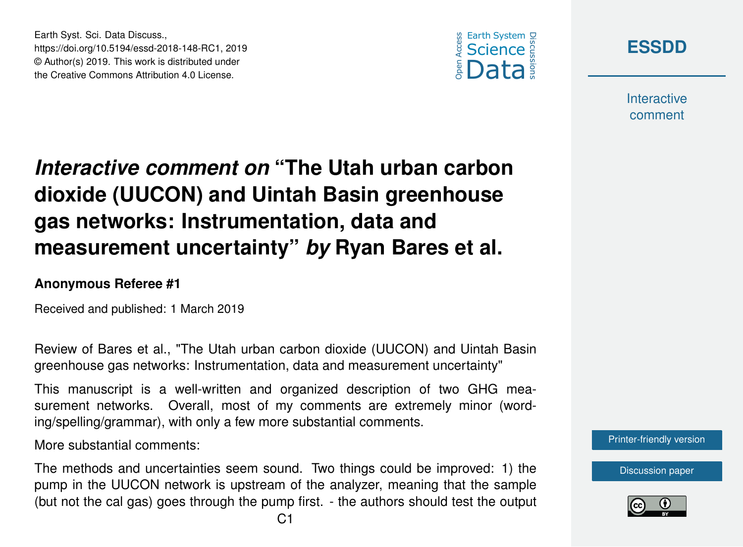





**Interactive** comment

## *Interactive comment on* **"The Utah urban carbon dioxide (UUCON) and Uintah Basin greenhouse gas networks: Instrumentation, data and measurement uncertainty"** *by* **Ryan Bares et al.**

## **Anonymous Referee #1**

Received and published: 1 March 2019

Review of Bares et al., "The Utah urban carbon dioxide (UUCON) and Uintah Basin greenhouse gas networks: Instrumentation, data and measurement uncertainty"

This manuscript is a well-written and organized description of two GHG measurement networks. Overall, most of my comments are extremely minor (wording/spelling/grammar), with only a few more substantial comments.

More substantial comments:

The methods and uncertainties seem sound. Two things could be improved: 1) the pump in the UUCON network is upstream of the analyzer, meaning that the sample (but not the cal gas) goes through the pump first. - the authors should test the output [Printer-friendly version](https://www.earth-syst-sci-data-discuss.net/essd-2018-148/essd-2018-148-RC1-print.pdf)

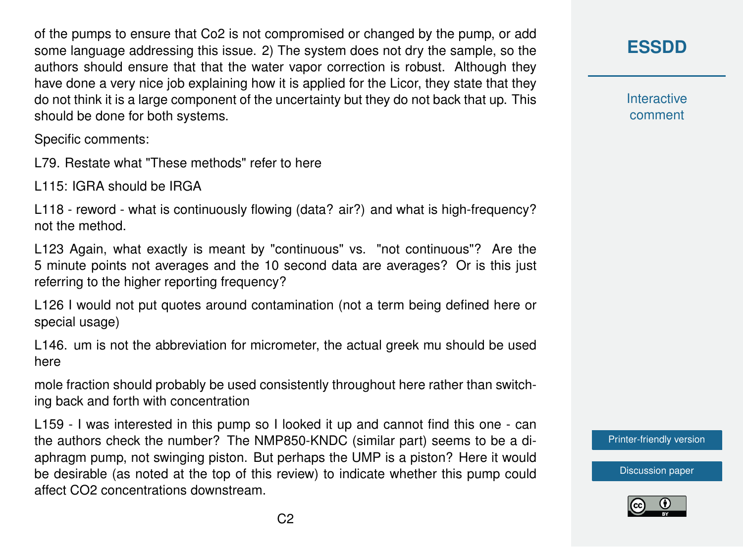of the pumps to ensure that Co2 is not compromised or changed by the pump, or add some language addressing this issue. 2) The system does not dry the sample, so the authors should ensure that that the water vapor correction is robust. Although they have done a very nice job explaining how it is applied for the Licor, they state that they do not think it is a large component of the uncertainty but they do not back that up. This should be done for both systems.

Specific comments:

L79. Restate what "These methods" refer to here

L115: IGRA should be IRGA

L118 - reword - what is continuously flowing (data? air?) and what is high-frequency? not the method.

L123 Again, what exactly is meant by "continuous" vs. "not continuous"? Are the 5 minute points not averages and the 10 second data are averages? Or is this just referring to the higher reporting frequency?

L126 I would not put quotes around contamination (not a term being defined here or special usage)

L146. um is not the abbreviation for micrometer, the actual greek mu should be used here

mole fraction should probably be used consistently throughout here rather than switching back and forth with concentration

L159 - I was interested in this pump so I looked it up and cannot find this one - can the authors check the number? The NMP850-KNDC (similar part) seems to be a diaphragm pump, not swinging piston. But perhaps the UMP is a piston? Here it would be desirable (as noted at the top of this review) to indicate whether this pump could affect CO2 concentrations downstream.

## **[ESSDD](https://www.earth-syst-sci-data-discuss.net/)**

**Interactive** comment

[Printer-friendly version](https://www.earth-syst-sci-data-discuss.net/essd-2018-148/essd-2018-148-RC1-print.pdf)

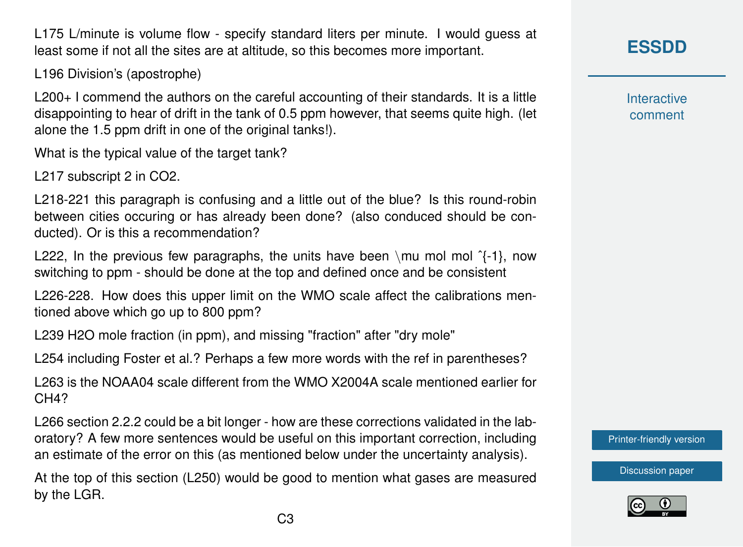L175 L/minute is volume flow - specify standard liters per minute. I would guess at least some if not all the sites are at altitude, so this becomes more important.

L196 Division's (apostrophe)

L200+ I commend the authors on the careful accounting of their standards. It is a little disappointing to hear of drift in the tank of 0.5 ppm however, that seems quite high. (let alone the 1.5 ppm drift in one of the original tanks!).

What is the typical value of the target tank?

L217 subscript 2 in CO2.

L218-221 this paragraph is confusing and a little out of the blue? Is this round-robin between cities occuring or has already been done? (also conduced should be conducted). Or is this a recommendation?

L222, In the previous few paragraphs, the units have been \mu mol mol  ${}^{2}$ {-1}, now switching to ppm - should be done at the top and defined once and be consistent

L226-228. How does this upper limit on the WMO scale affect the calibrations mentioned above which go up to 800 ppm?

L239 H2O mole fraction (in ppm), and missing "fraction" after "dry mole"

L254 including Foster et al.? Perhaps a few more words with the ref in parentheses?

L263 is the NOAA04 scale different from the WMO X2004A scale mentioned earlier for CH<sub>4</sub>?

L266 section 2.2.2 could be a bit longer - how are these corrections validated in the laboratory? A few more sentences would be useful on this important correction, including an estimate of the error on this (as mentioned below under the uncertainty analysis).

At the top of this section (L250) would be good to mention what gases are measured by the LGR.

**Interactive** comment

[Printer-friendly version](https://www.earth-syst-sci-data-discuss.net/essd-2018-148/essd-2018-148-RC1-print.pdf)

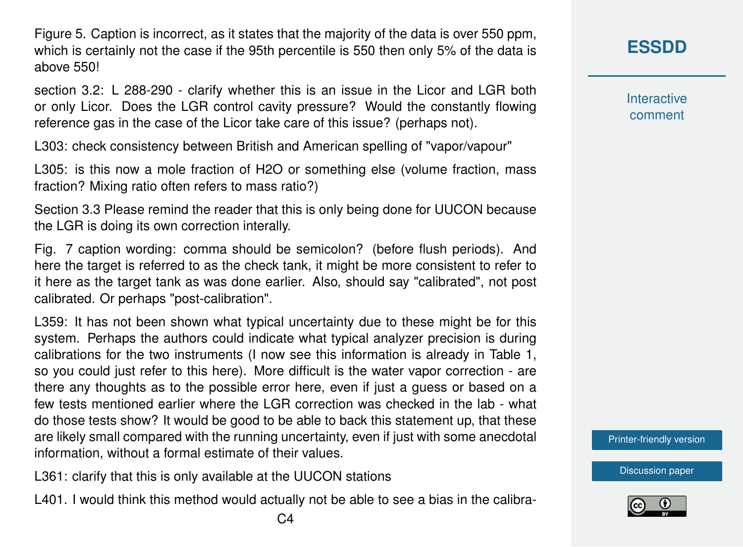Figure 5. Caption is incorrect, as it states that the majority of the data is over 550 ppm, which is certainly not the case if the 95th percentile is 550 then only 5% of the data is above 550!

section 3.2: L 288-290 - clarify whether this is an issue in the Licor and LGR both or only Licor. Does the LGR control cavity pressure? Would the constantly flowing reference gas in the case of the Licor take care of this issue? (perhaps not).

L303: check consistency between British and American spelling of "vapor/vapour"

L305: is this now a mole fraction of H2O or something else (volume fraction, mass fraction? Mixing ratio often refers to mass ratio?)

Section 3.3 Please remind the reader that this is only being done for UUCON because the LGR is doing its own correction interally.

Fig. 7 caption wording: comma should be semicolon? (before flush periods). And here the target is referred to as the check tank, it might be more consistent to refer to it here as the target tank as was done earlier. Also, should say "calibrated", not post calibrated. Or perhaps "post-calibration".

L359: It has not been shown what typical uncertainty due to these might be for this system. Perhaps the authors could indicate what typical analyzer precision is during calibrations for the two instruments (I now see this information is already in Table 1, so you could just refer to this here). More difficult is the water vapor correction - are there any thoughts as to the possible error here, even if just a guess or based on a few tests mentioned earlier where the LGR correction was checked in the lab - what do those tests show? It would be good to be able to back this statement up, that these are likely small compared with the running uncertainty, even if just with some anecdotal information, without a formal estimate of their values.

L361: clarify that this is only available at the UUCON stations

L401. I would think this method would actually not be able to see a bias in the calibra-



**Interactive** comment

[Printer-friendly version](https://www.earth-syst-sci-data-discuss.net/essd-2018-148/essd-2018-148-RC1-print.pdf)